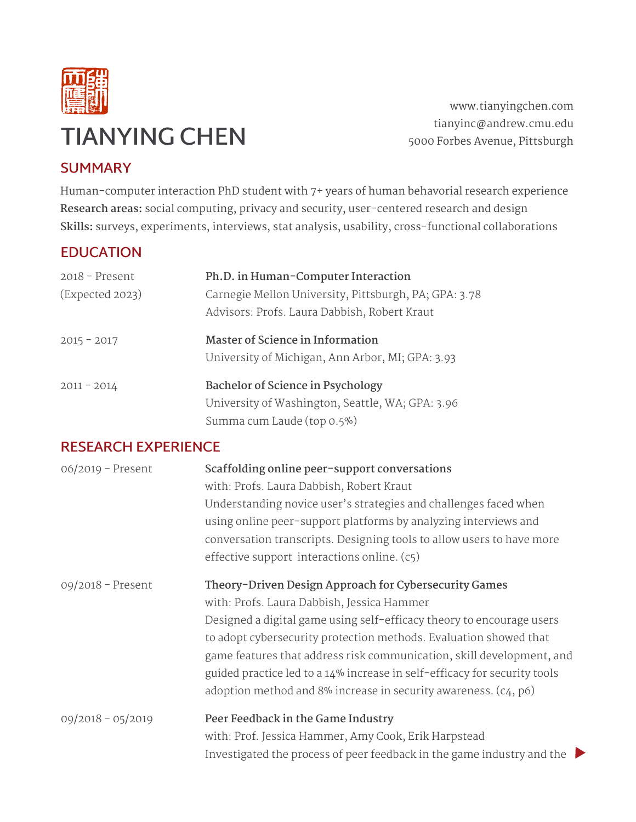

www.tianyingchen.com tianyinc@andrew.cmu.edu 5000 Forbes Avenue, Pittsburgh

## **SUMMARY**

Human-computer interaction PhD student with 7+ years of human behavorial research experience **Research areas:** social computing, privacy and security, user-centered research and design **Skills:** surveys, experiments, interviews, stat analysis, usability, cross-functional collaborations

## **EDUCATION**

| $2018$ – Present<br>(Expected 2023) | Ph.D. in Human-Computer Interaction<br>Carnegie Mellon University, Pittsburgh, PA; GPA: 3.78<br>Advisors: Profs. Laura Dabbish, Robert Kraut |
|-------------------------------------|----------------------------------------------------------------------------------------------------------------------------------------------|
| $2015 - 2017$                       | <b>Master of Science in Information</b><br>University of Michigan, Ann Arbor, MI; GPA: 3.93                                                  |
| $2011 - 2014$                       | <b>Bachelor of Science in Psychology</b><br>University of Washington, Seattle, WA; GPA: 3.96<br>Summa cum Laude (top 0.5%)                   |

## **RESEARCH EXPERIENCE**

| $06/2019$ - Present | Scaffolding online peer-support conversations<br>with: Profs. Laura Dabbish, Robert Kraut<br>Understanding novice user's strategies and challenges faced when<br>using online peer-support platforms by analyzing interviews and<br>conversation transcripts. Designing tools to allow users to have more<br>effective support interactions online. (c5)                                                                                                                   |
|---------------------|----------------------------------------------------------------------------------------------------------------------------------------------------------------------------------------------------------------------------------------------------------------------------------------------------------------------------------------------------------------------------------------------------------------------------------------------------------------------------|
| 09/2018 - Present   | Theory-Driven Design Approach for Cybersecurity Games<br>with: Profs. Laura Dabbish, Jessica Hammer<br>Designed a digital game using self-efficacy theory to encourage users<br>to adopt cybersecurity protection methods. Evaluation showed that<br>game features that address risk communication, skill development, and<br>guided practice led to a 14% increase in self-efficacy for security tools<br>adoption method and 8% increase in security awareness. (c4, p6) |
| $09/2018 - 05/2019$ | Peer Feedback in the Game Industry<br>with: Prof. Jessica Hammer, Amy Cook, Erik Harpstead<br>Investigated the process of peer feedback in the game industry and the $\blacktriangleright$                                                                                                                                                                                                                                                                                 |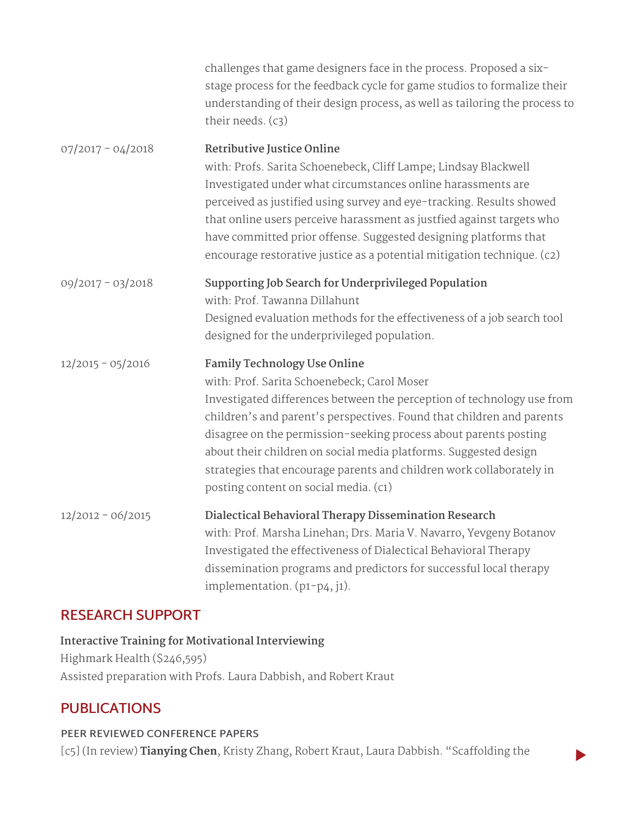|                     | challenges that game designers face in the process. Proposed a six-<br>stage process for the feedback cycle for game studios to formalize their<br>understanding of their design process, as well as tailoring the process to<br>their needs. (c3)                                                                                                                                                                                                                                             |
|---------------------|------------------------------------------------------------------------------------------------------------------------------------------------------------------------------------------------------------------------------------------------------------------------------------------------------------------------------------------------------------------------------------------------------------------------------------------------------------------------------------------------|
| $07/2017 - 04/2018$ | Retributive Justice Online<br>with: Profs. Sarita Schoenebeck, Cliff Lampe; Lindsay Blackwell<br>Investigated under what circumstances online harassments are<br>perceived as justified using survey and eye-tracking. Results showed<br>that online users perceive harassment as justfied against targets who<br>have committed prior offense. Suggested designing platforms that<br>encourage restorative justice as a potential mitigation technique. (c2)                                  |
| $09/2017 - 03/2018$ | Supporting Job Search for Underprivileged Population<br>with: Prof. Tawanna Dillahunt<br>Designed evaluation methods for the effectiveness of a job search tool<br>designed for the underprivileged population.                                                                                                                                                                                                                                                                                |
| $12/2015 - 05/2016$ | <b>Family Technology Use Online</b><br>with: Prof. Sarita Schoenebeck; Carol Moser<br>Investigated differences between the perception of technology use from<br>children's and parent's perspectives. Found that children and parents<br>disagree on the permission-seeking process about parents posting<br>about their children on social media platforms. Suggested design<br>strategies that encourage parents and children work collaborately in<br>posting content on social media. (c1) |
| $12/2012 - 06/2015$ | Dialectical Behavioral Therapy Dissemination Research<br>with: Prof. Marsha Linehan; Drs. Maria V. Navarro, Yevgeny Botanov<br>Investigated the effectiveness of Dialectical Behavioral Therapy<br>dissemination programs and predictors for successful local therapy<br>implementation. (p1-p4, j1).                                                                                                                                                                                          |

## **RESEARCH SUPPORT**

**Interactive Training for Motivational Interviewing** Highmark Health (\$246,595) Assisted preparation with Profs. Laura Dabbish, and Robert Kraut

## **PUBLICATIONS**

#### **PEER REVIEWED CONFERENCE PAPERS**

[c5] (In review) **Tianying Chen**, Kristy Zhang, Robert Kraut, Laura Dabbish. "Scaffolding the

 $\blacktriangleright$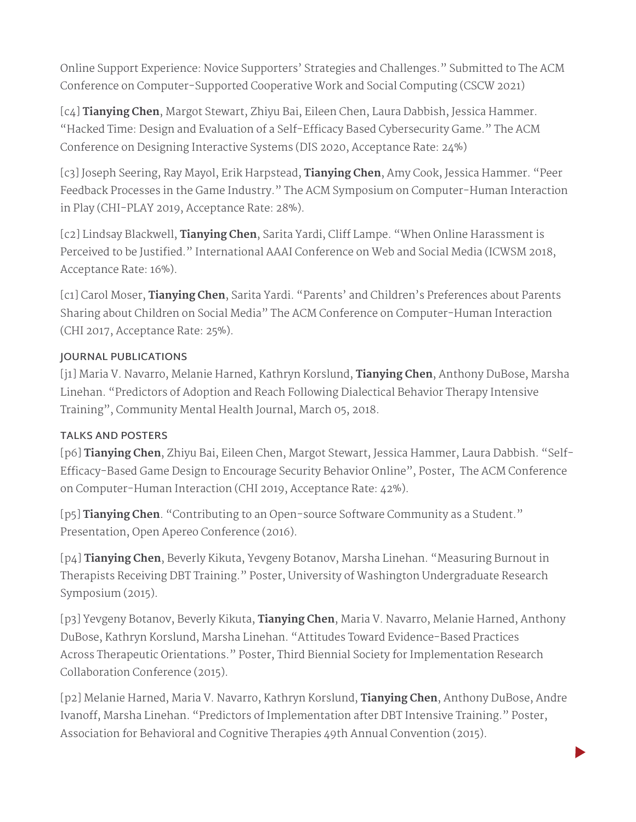Online Support Experience: Novice Supporters' Strategies and Challenges." Submitted to The ACM Conference on Computer-Supported Cooperative Work and Social Computing (CSCW 2021)

[c4] **Tianying Chen**, Margot Stewart, Zhiyu Bai, Eileen Chen, Laura Dabbish, Jessica Hammer. "Hacked Time: Design and Evaluation of a Self-Efficacy Based Cybersecurity Game." The ACM Conference on Designing Interactive Systems (DIS 2020, Acceptance Rate: 24%)

[c3] Joseph Seering, Ray Mayol, Erik Harpstead, **Tianying Chen**, Amy Cook, Jessica Hammer. "Peer Feedback Processes in the Game Industry." The ACM Symposium on Computer-Human Interaction in Play (CHI-PLAY 2019, Acceptance Rate: 28%).

[c2] Lindsay Blackwell, **Tianying Chen**, Sarita Yardi, Cliff Lampe. "When Online Harassment is Perceived to be Justified." International AAAI Conference on Web and Social Media (ICWSM 2018, Acceptance Rate: 16%).

[c1] Carol Moser, **Tianying Chen**, Sarita Yardi. "Parents' and Children's Preferences about Parents Sharing about Children on Social Media" The ACM Conference on Computer-Human Interaction (CHI 2017, Acceptance Rate: 25%).

### **JOURNAL PUBLICATIONS**

[j1] Maria V. Navarro, Melanie Harned, Kathryn Korslund, **Tianying Chen**, Anthony DuBose, Marsha Linehan. "Predictors of Adoption and Reach Following Dialectical Behavior Therapy Intensive Training", Community Mental Health Journal, March 05, 2018.

#### **TALKS AND POSTERS**

[p6] **Tianying Chen**, Zhiyu Bai, Eileen Chen, Margot Stewart, Jessica Hammer, Laura Dabbish. "Self-Efficacy-Based Game Design to Encourage Security Behavior Online", Poster, The ACM Conference on Computer-Human Interaction (CHI 2019, Acceptance Rate: 42%).

[p5] **Tianying Chen**. "Contributing to an Open-source Software Community as a Student." Presentation, Open Apereo Conference (2016).

[p4] **Tianying Chen**, Beverly Kikuta, Yevgeny Botanov, Marsha Linehan. "Measuring Burnout in Therapists Receiving DBT Training." Poster, University of Washington Undergraduate Research Symposium (2015).

[p3] Yevgeny Botanov, Beverly Kikuta, **Tianying Chen**, Maria V. Navarro, Melanie Harned, Anthony DuBose, Kathryn Korslund, Marsha Linehan. "Attitudes Toward Evidence-Based Practices Across Therapeutic Orientations." Poster, Third Biennial Society for Implementation Research Collaboration Conference (2015).

[p2] Melanie Harned, Maria V. Navarro, Kathryn Korslund, **Tianying Chen**, Anthony DuBose, Andre Ivanoff, Marsha Linehan. "Predictors of Implementation after DBT Intensive Training." Poster, Association for Behavioral and Cognitive Therapies 49th Annual Convention (2015).